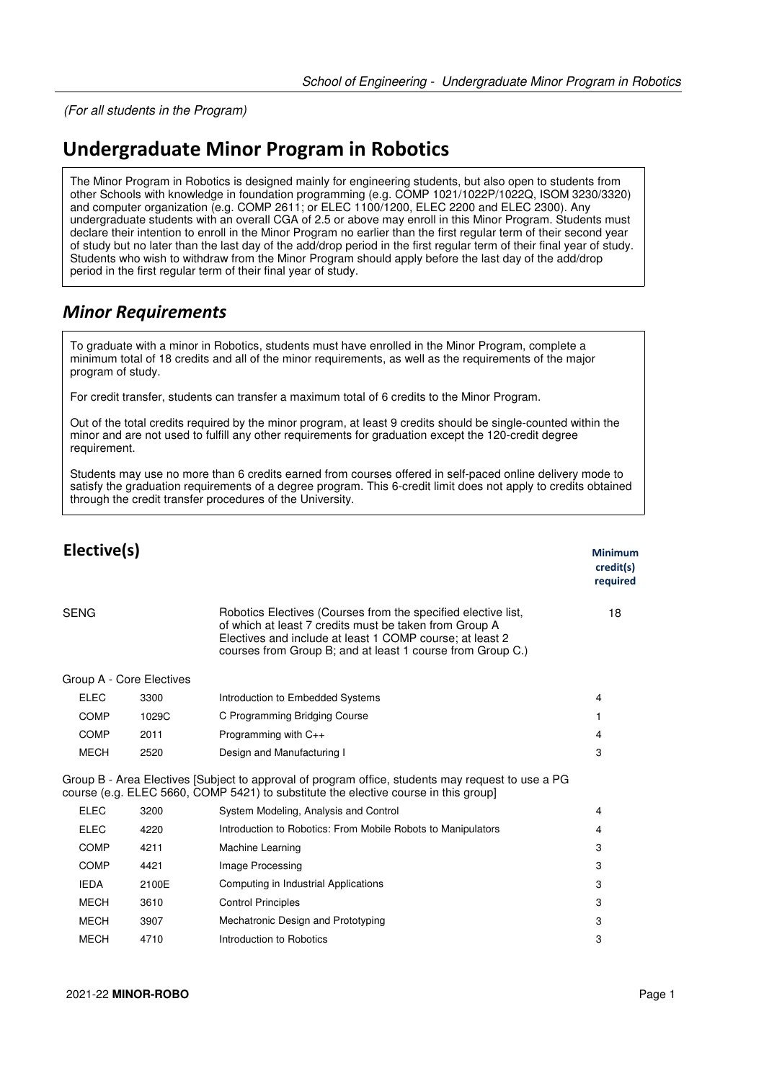(For all students in the Program)

## **Undergraduate Minor Program in Robotics**

The Minor Program in Robotics is designed mainly for engineering students, but also open to students from other Schools with knowledge in foundation programming (e.g. COMP 1021/1022P/1022Q, ISOM 3230/3320) and computer organization (e.g. COMP 2611; or ELEC 1100/1200, ELEC 2200 and ELEC 2300). Any undergraduate students with an overall CGA of 2.5 or above may enroll in this Minor Program. Students must declare their intention to enroll in the Minor Program no earlier than the first regular term of their second year of study but no later than the last day of the add/drop period in the first regular term of their final year of study. Students who wish to withdraw from the Minor Program should apply before the last day of the add/drop period in the first regular term of their final year of study.

## *Minor Requirements*

To graduate with a minor in Robotics, students must have enrolled in the Minor Program, complete a minimum total of 18 credits and all of the minor requirements, as well as the requirements of the major program of study.

For credit transfer, students can transfer a maximum total of 6 credits to the Minor Program.

Out of the total credits required by the minor program, at least 9 credits should be single-counted within the minor and are not used to fulfill any other requirements for graduation except the 120-credit degree requirement.

Students may use no more than 6 credits earned from courses offered in self-paced online delivery mode to satisfy the graduation requirements of a degree program. This 6-credit limit does not apply to credits obtained through the credit transfer procedures of the University.

| Elective(s)              |                                                                                                                                                                                                                                                   | Minimum<br>credit(s)<br>required |
|--------------------------|---------------------------------------------------------------------------------------------------------------------------------------------------------------------------------------------------------------------------------------------------|----------------------------------|
| <b>SENG</b>              | Robotics Electives (Courses from the specified elective list,<br>of which at least 7 credits must be taken from Group A<br>Electives and include at least 1 COMP course; at least 2<br>courses from Group B; and at least 1 course from Group C.) | 18                               |
| Group A - Core Electives |                                                                                                                                                                                                                                                   |                                  |
| <b>ELEC</b><br>3300      | Introduction to Embedded Systems                                                                                                                                                                                                                  | 4                                |
| <b>COMP</b><br>1029C     | C Programming Bridging Course                                                                                                                                                                                                                     | 1                                |
| <b>COMP</b><br>2011      | Programming with $C_{++}$                                                                                                                                                                                                                         | 4                                |
| MECH<br>2520             | Design and Manufacturing I                                                                                                                                                                                                                        | 3                                |
|                          | Group B - Area Electives [Subject to approval of program office, students may request to use a PG<br>course (e.g. ELEC 5660, COMP 5421) to substitute the elective course in this group                                                           |                                  |
| <b>ELEC</b><br>3200      | System Modeling, Analysis and Control                                                                                                                                                                                                             | 4                                |
| <b>ELEC</b><br>4220      | Introduction to Robotics: From Mobile Robots to Manipulators                                                                                                                                                                                      | 4                                |
| <b>COMP</b><br>4211      | Machine Learning                                                                                                                                                                                                                                  | 3                                |
| COMP<br>4421             | Image Processing                                                                                                                                                                                                                                  | 3                                |
| <b>IEDA</b><br>2100E     | Computing in Industrial Applications                                                                                                                                                                                                              | 3                                |
| <b>MECH</b><br>3610      | <b>Control Principles</b>                                                                                                                                                                                                                         | 3                                |
| <b>MECH</b><br>3907      | Mechatronic Design and Prototyping                                                                                                                                                                                                                | 3                                |
| <b>MECH</b><br>4710      | Introduction to Robotics                                                                                                                                                                                                                          | 3                                |